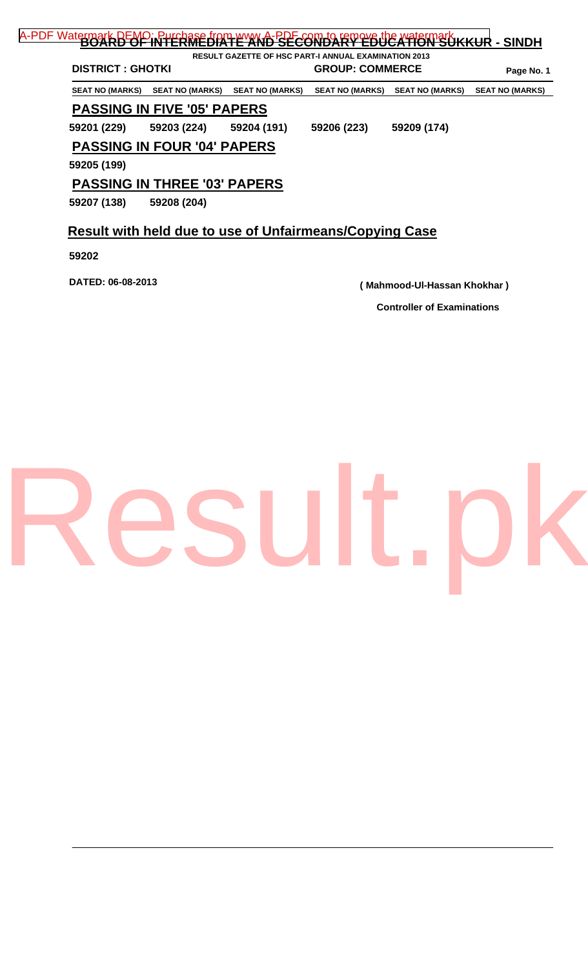| <b>DISTRICT: GHOTKI</b> |                                     |                        | <b>GROUP: COMMERCE</b> | Page No. 1             |                        |
|-------------------------|-------------------------------------|------------------------|------------------------|------------------------|------------------------|
| <b>SEAT NO (MARKS)</b>  | SEAT NO (MARKS)                     | <b>SEAT NO (MARKS)</b> | <b>SEAT NO (MARKS)</b> | <b>SEAT NO (MARKS)</b> | <b>SEAT NO (MARKS)</b> |
|                         | <b>PASSING IN FIVE '05' PAPERS</b>  |                        |                        |                        |                        |
| 59201 (229)             | 59203 (224)                         | 59204 (191)            | 59206 (223)            | 59209 (174)            |                        |
|                         | <b>PASSING IN FOUR '04' PAPERS</b>  |                        |                        |                        |                        |
| 59205 (199)             |                                     |                        |                        |                        |                        |
|                         | <b>PASSING IN THREE '03' PAPERS</b> |                        |                        |                        |                        |
| 59207 (138)             | 59208 (204)                         |                        |                        |                        |                        |

**59202** 

**DATED: 06-08-2013 ( Mahmood-Ul-Hassan Khokhar )**

**Controller of Examinations** 

## [Result.pk](http://www.result.pk)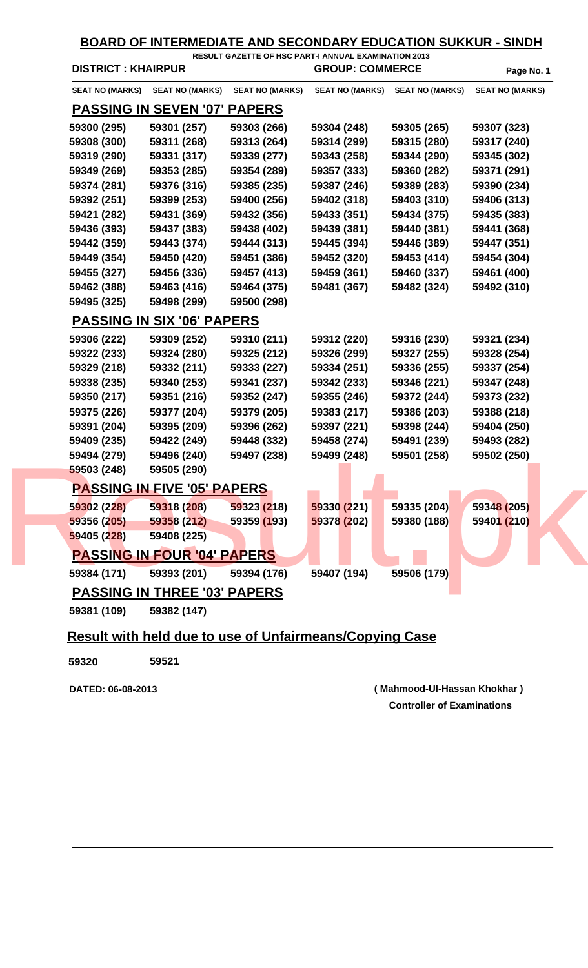|             | <b>DISTRICT: KHAIRPUR</b>           |                        | RESULT GAZETTE OF HSC PART-I ANNUAL EXAMINATION 2013<br><b>GROUP: COMMERCE</b> |                        | Page No. 1             |
|-------------|-------------------------------------|------------------------|--------------------------------------------------------------------------------|------------------------|------------------------|
|             | SEAT NO (MARKS) SEAT NO (MARKS)     | <b>SEAT NO (MARKS)</b> | <b>SEAT NO (MARKS)</b>                                                         | <b>SEAT NO (MARKS)</b> | <b>SEAT NO (MARKS)</b> |
|             | <b>PASSING IN SEVEN '07' PAPERS</b> |                        |                                                                                |                        |                        |
| 59300 (295) | 59301 (257)                         | 59303 (266)            | 59304 (248)                                                                    | 59305 (265)            | 59307 (323)            |
| 59308 (300) | 59311 (268)                         | 59313 (264)            | 59314 (299)                                                                    | 59315 (280)            | 59317 (240)            |
| 59319 (290) | 59331 (317)                         | 59339 (277)            | 59343 (258)                                                                    | 59344 (290)            | 59345 (302)            |
| 59349 (269) | 59353 (285)                         | 59354 (289)            | 59357 (333)                                                                    | 59360 (282)            | 59371 (291)            |
| 59374 (281) | 59376 (316)                         | 59385 (235)            | 59387 (246)                                                                    | 59389 (283)            | 59390 (234)            |
| 59392 (251) | 59399 (253)                         | 59400 (256)            | 59402 (318)                                                                    | 59403 (310)            | 59406 (313)            |
| 59421 (282) | 59431 (369)                         | 59432 (356)            | 59433 (351)                                                                    | 59434 (375)            | 59435 (383)            |
| 59436 (393) | 59437 (383)                         | 59438 (402)            | 59439 (381)                                                                    | 59440 (381)            | 59441 (368)            |
| 59442 (359) | 59443 (374)                         | 59444 (313)            | 59445 (394)                                                                    | 59446 (389)            | 59447 (351)            |
| 59449 (354) | 59450 (420)                         | 59451 (386)            | 59452 (320)                                                                    | 59453 (414)            | 59454 (304)            |
| 59455 (327) | 59456 (336)                         | 59457 (413)            | 59459 (361)                                                                    | 59460 (337)            | 59461 (400)            |
| 59462 (388) | 59463 (416)                         | 59464 (375)            | 59481 (367)                                                                    | 59482 (324)            | 59492 (310)            |
| 59495 (325) | 59498 (299)                         | 59500 (298)            |                                                                                |                        |                        |
|             | <b>PASSING IN SIX '06' PAPERS</b>   |                        |                                                                                |                        |                        |
| 59306 (222) | 59309 (252)                         | 59310 (211)            | 59312 (220)                                                                    | 59316 (230)            | 59321 (234)            |
| 59322 (233) | 59324 (280)                         | 59325 (212)            | 59326 (299)                                                                    | 59327 (255)            | 59328 (254)            |
| 59329 (218) | 59332 (211)                         | 59333 (227)            | 59334 (251)                                                                    | 59336 (255)            | 59337 (254)            |
| 59338 (235) | 59340 (253)                         | 59341 (237)            | 59342 (233)                                                                    | 59346 (221)            | 59347 (248)            |
| 59350 (217) | 59351 (216)                         | 59352 (247)            | 59355 (246)                                                                    | 59372 (244)            | 59373 (232)            |
| 59375 (226) | 59377 (204)                         | 59379 (205)            | 59383 (217)                                                                    | 59386 (203)            | 59388 (218)            |
| 59391 (204) | 59395 (209)                         | 59396 (262)            | 59397 (221)                                                                    | 59398 (244)            | 59404 (250)            |
| 59409 (235) | 59422 (249)                         | 59448 (332)            | 59458 (274)                                                                    | 59491 (239)            | 59493 (282)            |
| 59494 (279) | 59496 (240)                         | 59497 (238)            | 59499 (248)                                                                    | 59501 (258)            | 59502 (250)            |
| 59503 (248) | 59505 (290)                         |                        |                                                                                |                        |                        |
|             | <b>PASSING IN FIVE '05' PAPERS</b>  |                        |                                                                                |                        |                        |
| 59302 (228) | 59318 (208)                         | 59323 (218)            | 59330 (221)                                                                    | 59335 (204)            | 59348 (205)            |
| 59356 (205) | 59358 (212)                         | 59359 (193)            | 59378 (202)                                                                    | 59380 (188)            | 59401 (210)            |
| 59405 (228) | 59408 (225)                         |                        |                                                                                |                        |                        |
|             | <b>PASSING IN FOUR '04' PAPERS</b>  |                        |                                                                                |                        |                        |
| 59384 (171) | 59393 (201)                         | 59394 (176)            | 59407 (194)                                                                    | 59506 (179)            |                        |
|             | <b>PASSING IN THREE '03' PAPERS</b> |                        |                                                                                |                        |                        |
| 59381 (109) | 59382 (147)                         |                        |                                                                                |                        |                        |

## **Result with held due to use of Unfairmeans/Copying Case**

**59320 59521** 

**Controller of Examinations DATED: 06-08-2013 ( Mahmood-Ul-Hassan Khokhar )**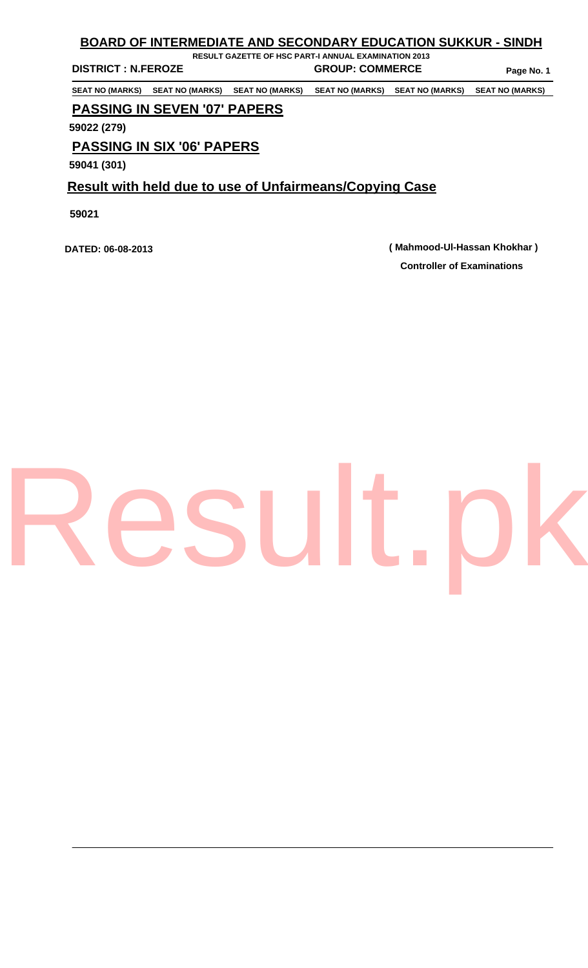## **BOARD OF INTERMEDIATE AND SECONDARY EDUCATION SUKKUR - SINDH**

**DISTRICT : N.FEROZE GROUP: COMMERCE** Page No. 1

**RESULT GAZETTE OF HSC PART-I ANNUAL EXAMINATION 2013** 

**SEAT NO (MARKS) SEAT NO (MARKS) SEAT NO (MARKS) SEAT NO (MARKS) SEAT NO (MARKS) SEAT NO (MARKS)** 

## **PASSING IN SEVEN '07' PAPERS**

**59022 (279)** 

## **PASSING IN SIX '06' PAPERS**

**59041 (301)** 

## **Result with held due to use of Unfairmeans/Copying Case**

**59021** 

**Controller of Examinations DATED: 06-08-2013 ( Mahmood-Ul-Hassan Khokhar )**

# [Result.pk](http://www.result.pk)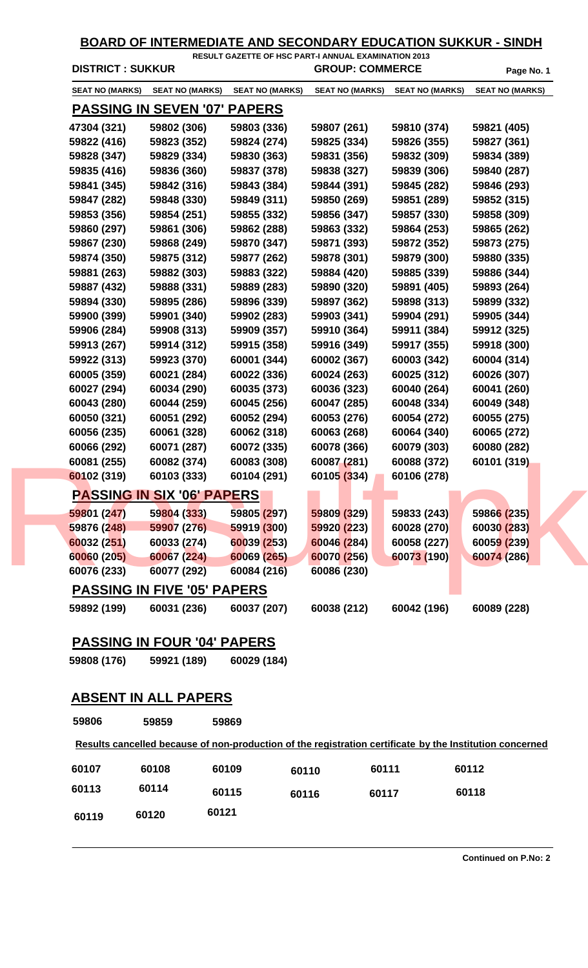| <b>DISTRICT: SUKKUR</b> |                                     |                        | <b>GROUP: COMMERCE</b> |                        | Page No. 1             |
|-------------------------|-------------------------------------|------------------------|------------------------|------------------------|------------------------|
| <b>SEAT NO (MARKS)</b>  | <b>SEAT NO (MARKS)</b>              | <b>SEAT NO (MARKS)</b> | <b>SEAT NO (MARKS)</b> | <b>SEAT NO (MARKS)</b> | <b>SEAT NO (MARKS)</b> |
|                         | <b>PASSING IN SEVEN '07' PAPERS</b> |                        |                        |                        |                        |
| 47304 (321)             | 59802 (306)                         | 59803 (336)            | 59807 (261)            | 59810 (374)            | 59821 (405)            |
| 59822 (416)             | 59823 (352)                         | 59824 (274)            | 59825 (334)            | 59826 (355)            | 59827 (361)            |
| 59828 (347)             | 59829 (334)                         | 59830 (363)            | 59831 (356)            | 59832 (309)            | 59834 (389)            |
| 59835 (416)             | 59836 (360)                         | 59837 (378)            | 59838 (327)            | 59839 (306)            | 59840 (287)            |
| 59841 (345)             | 59842 (316)                         | 59843 (384)            | 59844 (391)            | 59845 (282)            | 59846 (293)            |
| 59847 (282)             | 59848 (330)                         | 59849 (311)            | 59850 (269)            | 59851 (289)            | 59852 (315)            |
| 59853 (356)             | 59854 (251)                         | 59855 (332)            | 59856 (347)            | 59857 (330)            | 59858 (309)            |
| 59860 (297)             | 59861 (306)                         | 59862 (288)            | 59863 (332)            | 59864 (253)            | 59865 (262)            |
| 59867 (230)             | 59868 (249)                         | 59870 (347)            | 59871 (393)            | 59872 (352)            | 59873 (275)            |
| 59874 (350)             | 59875 (312)                         | 59877 (262)            | 59878 (301)            | 59879 (300)            | 59880 (335)            |
| 59881 (263)             | 59882 (303)                         | 59883 (322)            | 59884 (420)            | 59885 (339)            | 59886 (344)            |
| 59887 (432)             | 59888 (331)                         | 59889 (283)            | 59890 (320)            | 59891 (405)            | 59893 (264)            |
| 59894 (330)             | 59895 (286)                         | 59896 (339)            | 59897 (362)            | 59898 (313)            | 59899 (332)            |
| 59900 (399)             | 59901 (340)                         | 59902 (283)            | 59903 (341)            | 59904 (291)            | 59905 (344)            |
| 59906 (284)             | 59908 (313)                         | 59909 (357)            | 59910 (364)            | 59911 (384)            | 59912 (325)            |
| 59913 (267)             | 59914 (312)                         | 59915 (358)            | 59916 (349)            | 59917 (355)            | 59918 (300)            |
| 59922 (313)             | 59923 (370)                         | 60001 (344)            | 60002 (367)            | 60003 (342)            | 60004 (314)            |
| 60005 (359)             | 60021 (284)                         | 60022 (336)            | 60024 (263)            | 60025 (312)            | 60026 (307)            |
| 60027 (294)             | 60034 (290)                         | 60035 (373)            | 60036 (323)            | 60040 (264)            | 60041 (260)            |
| 60043 (280)             | 60044 (259)                         | 60045 (256)            | 60047 (285)            | 60048 (334)            | 60049 (348)            |
| 60050 (321)             | 60051 (292)                         | 60052 (294)            | 60053 (276)            | 60054 (272)            | 60055 (275)            |
| 60056 (235)             | 60061 (328)                         | 60062 (318)            | 60063 (268)            | 60064 (340)            | 60065 (272)            |
| 60066 (292)             | 60071 (287)                         | 60072 (335)            | 60078 (366)            | 60079 (303)            | 60080 (282)            |
| 60081 (255)             | 60082 (374)                         | 60083 (308)            | 60087 (281)            | 60088 (372)            | 60101 (319)            |
| 60102 (319)             | 60103 (333)                         | 60104 (291)            | 60105 (334)            | 60106 (278)            |                        |
|                         | <b>PASSING IN SIX '06' PAPERS</b>   |                        |                        |                        |                        |
| 59801 (247)             | 59804 (333)                         | 59805 (297)            | 59809 (329)            | 59833 (243)            | 59866 (235)            |
| 59876 (248)             | 59907 (276)                         | 59919 (300)            | 59920 (223)            | 60028 (270)            | 60030 (283)            |
| 60032 (251)             | 60033 (274)                         | 60039 (253)            | 60046 (284)            | 60058 (227)            | 60059 (239)            |
| 60060 (205)             | 60067 (224)                         | 60069 (265)            | 60070 (256)            | 60073 (190)            | 60074 (286)            |
| 60076 (233)             | 60077 (292)                         | 60084 (216)            | 60086 (230)            |                        |                        |
|                         | <b>PASSING IN FIVE '05' PAPERS</b>  |                        |                        |                        |                        |
| 59892 (199)             | 60031 (236)                         | 60037 (207)            | 60038 (212)            | 60042 (196)            | 60089 (228)            |

## **PASSING IN FOUR '04' PAPERS**

**59808 (176) 59921 (189) 60029 (184)** 

## **ABSENT IN ALL PAPERS**

| 59806 | 59859 | 59869 |       |       |                                                                                                          |  |
|-------|-------|-------|-------|-------|----------------------------------------------------------------------------------------------------------|--|
|       |       |       |       |       | Results cancelled because of non-production of the registration certificate by the Institution concerned |  |
| 60107 | 60108 | 60109 | 60110 | 60111 | 60112                                                                                                    |  |
| 60113 | 60114 | 60115 | 60116 | 60117 | 60118                                                                                                    |  |
| 60119 | 60120 | 60121 |       |       |                                                                                                          |  |